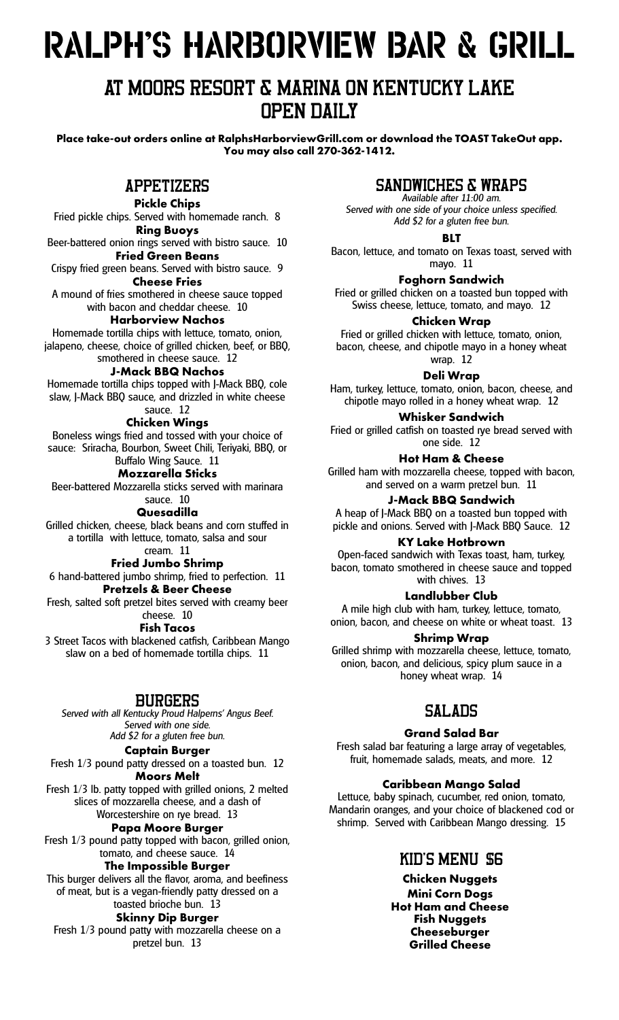# RALPH'S�HARBORVIEW�BAR�&�GRILL

## AT MOORS RESORT & MARINA ON KENTUCKY LAKE OPEN DAILY

**Place take-out orders online at RalphsHarborviewGrill.com or download the TOAST TakeOut app. You may also call 270-362-1412.**

## APPETIZERS

**Pickle Chips**

Fried pickle chips. Served with homemade ranch. 8 **Ring Buoys**

Beer-battered onion rings served with bistro sauce. 10 **Fried Green Beans**

Crispy fried green beans. Served with bistro sauce. 9 **Cheese Fries**

A mound of fries smothered in cheese sauce topped with bacon and cheddar cheese. 10

**Harborview Nachos**

Homemade tortilla chips with lettuce, tomato, onion, jalapeno, cheese, choice of grilled chicken, beef, or BBQ,

#### smothered in cheese sauce. 12 **J-Mack BBQ Nachos**

Homemade tortilla chips topped with J-Mack BBQ, cole

slaw, J-Mack BBQ sauce, and drizzled in white cheese sauce. 12

## **Chicken Wings**

Boneless wings fried and tossed with your choice of sauce: Sriracha, Bourbon, Sweet Chili, Teriyaki, BBQ, or Buffalo Wing Sauce. 11

#### **Mozzarella Sticks**

Beer-battered Mozzarella sticks served with marinara

#### sauce. 10

**Quesadilla**

Grilled chicken, cheese, black beans and corn stuffed in a tortilla with lettuce, tomato, salsa and sour

## cream. 11

**Fried Jumbo Shrimp** 6 hand-battered jumbo shrimp, fried to perfection. 11

**Pretzels & Beer Cheese** Fresh, salted soft pretzel bites served with creamy beer

## cheese. 10

**Fish Tacos**

3 Street Tacos with blackened catfish, Caribbean Mango slaw on a bed of homemade tortilla chips. 11

## BURGERS

*Served with all Kentucky Proud Halperns' Angus Beef. Served with one side. Add \$2 for a gluten free bun.*

#### **Captain Burger**

Fresh 1/3 pound patty dressed on a toasted bun. 12 **Moors Melt**

Fresh 1/3 lb. patty topped with grilled onions, 2 melted slices of mozzarella cheese, and a dash of Worcestershire on rye bread. 13

**Papa Moore Burger**

Fresh 1/3 pound patty topped with bacon, grilled onion, tomato, and cheese sauce. 14

#### **The Impossible Burger**

This burger delivers all the flavor, aroma, and beefiness of meat, but is a vegan-friendly patty dressed on a toasted brioche bun. 13

## **Skinny Dip Burger**

Fresh 1/3 pound patty with mozzarella cheese on a pretzel bun. 13

## SANDWICHES & WRAPS

*Available after 11:00 am. Served with one side of your choice unless specified. Add \$2 for a gluten free bun.*

**BLT**

Bacon, lettuce, and tomato on Texas toast, served with mayo. 11

#### **Foghorn Sandwich**

Fried or grilled chicken on a toasted bun topped with Swiss cheese, lettuce, tomato, and mayo. 12

#### **Chicken Wrap**

Fried or grilled chicken with lettuce, tomato, onion, bacon, cheese, and chipotle mayo in a honey wheat wrap. 12

**Deli Wrap**

Ham, turkey, lettuce, tomato, onion, bacon, cheese, and chipotle mayo rolled in a honey wheat wrap. 12

#### **Whisker Sandwich**

Fried or grilled catfish on toasted rye bread served with one side. 12

**Hot Ham & Cheese**

Grilled ham with mozzarella cheese, topped with bacon, and served on a warm pretzel bun. 11

#### **J-Mack BBQ Sandwich**

A heap of J-Mack BBQ on a toasted bun topped with pickle and onions. Served with J-Mack BBQ Sauce. 12

#### **KY Lake Hotbrown**

Open-faced sandwich with Texas toast, ham, turkey, bacon, tomato smothered in cheese sauce and topped with chives. 13

#### **Landlubber Club**

A mile high club with ham, turkey, lettuce, tomato, onion, bacon, and cheese on white or wheat toast. 13

#### **Shrimp Wrap**

Grilled shrimp with mozzarella cheese, lettuce, tomato, onion, bacon, and delicious, spicy plum sauce in a honey wheat wrap. 14

## SALADS

#### **Grand Salad Bar**

Fresh salad bar featuring a large array of vegetables, fruit, homemade salads, meats, and more. 12

#### **Caribbean Mango Salad**

Lettuce, baby spinach, cucumber, red onion, tomato, Mandarin oranges, and your choice of blackened cod or shrimp. Served with Caribbean Mango dressing. 15

## KID'S MENU \$6

**Chicken Nuggets Mini Corn Dogs Hot Ham and Cheese Fish Nuggets Cheeseburger Grilled Cheese**